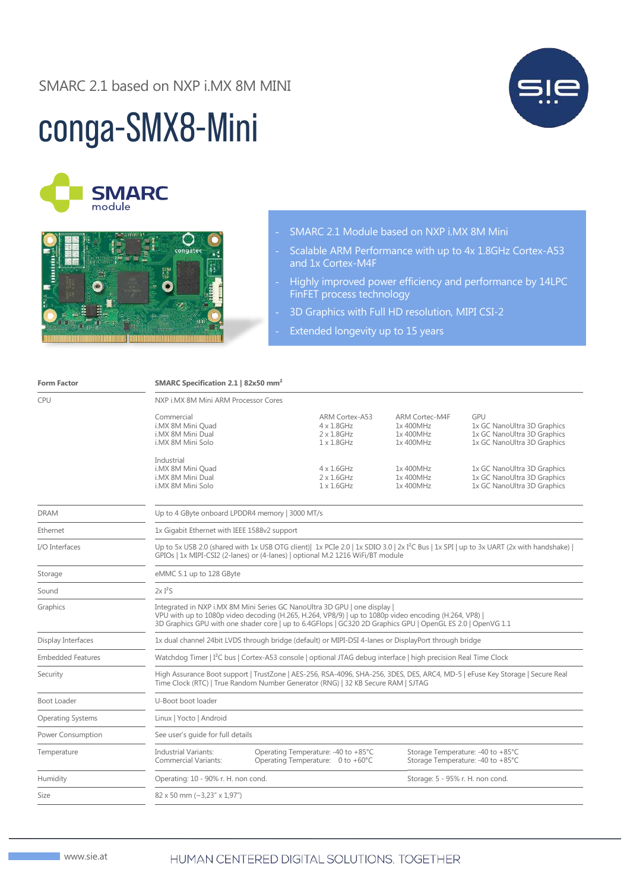### SMARC 2.1 based on NXP i.MX 8M MINI

# conga-SMX8-Mini





#### - SMARC 2.1 Module based on NXP i.MX 8M Mini

- Scalable ARM Performance with up to 4x 1.8GHz Cortex-A53 and 1x Cortex-M4F
- Highly improved power efficiency and performance by 14LPC FinFET process technology
- 3D Graphics with Full HD resolution, MIPI CSI-2
- Extended longevity up to 15 years

| <b>Form Factor</b>       | SMARC Specification 2.1   82x50 mm <sup>2</sup>                                                                                                                                                                                                                                                   |                                     |                                                                                  |                                                              |                                                                                                  |  |
|--------------------------|---------------------------------------------------------------------------------------------------------------------------------------------------------------------------------------------------------------------------------------------------------------------------------------------------|-------------------------------------|----------------------------------------------------------------------------------|--------------------------------------------------------------|--------------------------------------------------------------------------------------------------|--|
| <b>CPU</b>               | NXP i.MX 8M Mini ARM Processor Cores                                                                                                                                                                                                                                                              |                                     |                                                                                  |                                                              |                                                                                                  |  |
|                          | Commercial<br>i.MX 8M Mini Quad<br>i.MX 8M Mini Dual<br>i.MX 8M Mini Solo                                                                                                                                                                                                                         |                                     | ARM Cortex-A53<br>$4 \times 1.8$ GHz<br>$2 \times 1.8$ GHz<br>$1 \times 1.8$ GHz | <b>ARM Cortec-M4F</b><br>1x 400MHz<br>1x 400MHz<br>1x 400MHz | GPU<br>1x GC NanoUltra 3D Graphics<br>1x GC NanoUltra 3D Graphics<br>1x GC NanoUltra 3D Graphics |  |
|                          | Industrial<br>i.MX 8M Mini Quad<br>i.MX 8M Mini Dual<br>i.MX 8M Mini Solo                                                                                                                                                                                                                         |                                     | $4 \times 1.6$ GHz<br>$2 \times 1.6$ GHz<br>$1 \times 1.6$ GHz                   | 1x 400MHz<br>1x 400MHz<br>1x 400MHz                          | 1x GC NanoUltra 3D Graphics<br>1x GC NanoUltra 3D Graphics<br>1x GC NanoUltra 3D Graphics        |  |
| <b>DRAM</b>              | Up to 4 GByte onboard LPDDR4 memory   3000 MT/s                                                                                                                                                                                                                                                   |                                     |                                                                                  |                                                              |                                                                                                  |  |
| Ethernet                 | 1x Gigabit Ethernet with IEEE 1588v2 support                                                                                                                                                                                                                                                      |                                     |                                                                                  |                                                              |                                                                                                  |  |
| I/O Interfaces           | Up to 5x USB 2.0 (shared with 1x USB OTG client) 1x PCIe 2.0   1x SDIO 3.0   2x I <sup>2</sup> C Bus   1x SPI   up to 3x UART (2x with handshake)  <br>GPIOs   1x MIPI-CSI2 (2-lanes) or (4-lanes)   optional M.2 1216 WiFi/BT module                                                             |                                     |                                                                                  |                                                              |                                                                                                  |  |
| Storage                  | eMMC 5.1 up to 128 GByte                                                                                                                                                                                                                                                                          |                                     |                                                                                  |                                                              |                                                                                                  |  |
| Sound                    | 2xI <sup>2</sup> S                                                                                                                                                                                                                                                                                |                                     |                                                                                  |                                                              |                                                                                                  |  |
| Graphics                 | Integrated in NXP i.MX 8M Mini Series GC NanoUltra 3D GPU   one display  <br>VPU with up to 1080p video decoding (H.265, H.264, VP8/9)   up to 1080p video encoding (H.264, VP8)  <br>3D Graphics GPU with one shader core   up to 6.4GFlops   GC320 2D Graphics GPU   OpenGL ES 2.0   OpenVG 1.1 |                                     |                                                                                  |                                                              |                                                                                                  |  |
| Display Interfaces       | 1x dual channel 24bit LVDS through bridge (default) or MIPI-DSI 4-lanes or DisplayPort through bridge                                                                                                                                                                                             |                                     |                                                                                  |                                                              |                                                                                                  |  |
| <b>Embedded Features</b> | Watchdog Timer   I <sup>2</sup> C bus   Cortex-A53 console   optional JTAG debug interface   high precision Real Time Clock                                                                                                                                                                       |                                     |                                                                                  |                                                              |                                                                                                  |  |
| Security                 | High Assurance Boot support   TrustZone   AES-256, RSA-4096, SHA-256, 3DES, DES, ARC4, MD-5   eFuse Key Storage   Secure Real<br>Time Clock (RTC)   True Random Number Generator (RNG)   32 KB Secure RAM   SJTAG                                                                                 |                                     |                                                                                  |                                                              |                                                                                                  |  |
| Boot Loader              | U-Boot boot loader                                                                                                                                                                                                                                                                                |                                     |                                                                                  |                                                              |                                                                                                  |  |
| <b>Operating Systems</b> | Linux   Yocto   Android                                                                                                                                                                                                                                                                           |                                     |                                                                                  |                                                              |                                                                                                  |  |
| Power Consumption        | See user's quide for full details                                                                                                                                                                                                                                                                 |                                     |                                                                                  |                                                              |                                                                                                  |  |
| Temperature              | <b>Industrial Variants:</b><br><b>Commercial Variants:</b>                                                                                                                                                                                                                                        |                                     | Operating Temperature: -40 to +85°C<br>Operating Temperature: 0 to +60°C         |                                                              | Storage Temperature: -40 to +85°C<br>Storage Temperature: -40 to +85°C                           |  |
| Humidity                 |                                                                                                                                                                                                                                                                                                   | Operating: 10 - 90% r. H. non cond. |                                                                                  |                                                              | Storage: 5 - 95% r. H. non cond.                                                                 |  |
| Size                     | $82 \times 50$ mm (~3,23" $\times$ 1,97")                                                                                                                                                                                                                                                         |                                     |                                                                                  |                                                              |                                                                                                  |  |
|                          |                                                                                                                                                                                                                                                                                                   |                                     |                                                                                  |                                                              |                                                                                                  |  |

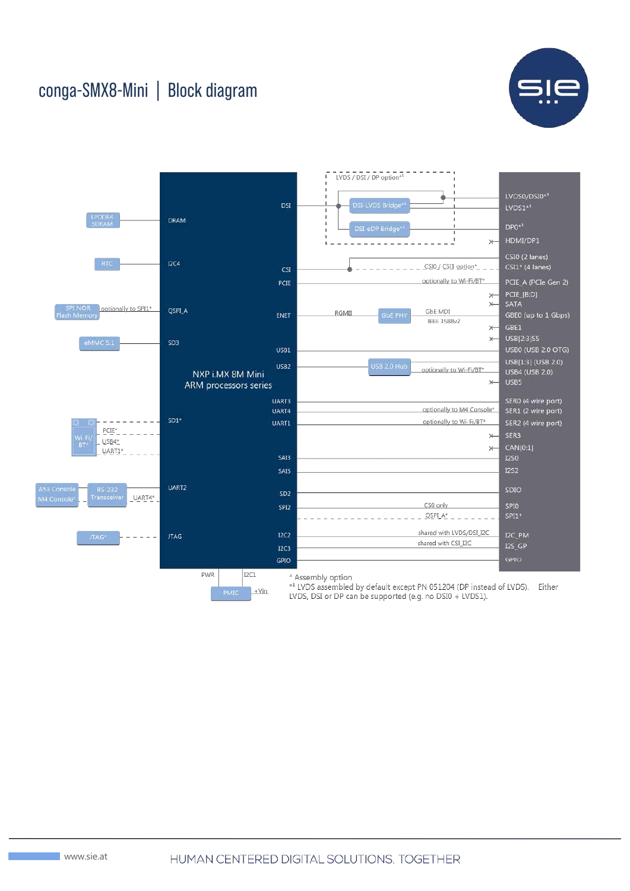## conga-SMX8-Mini | Block diagram